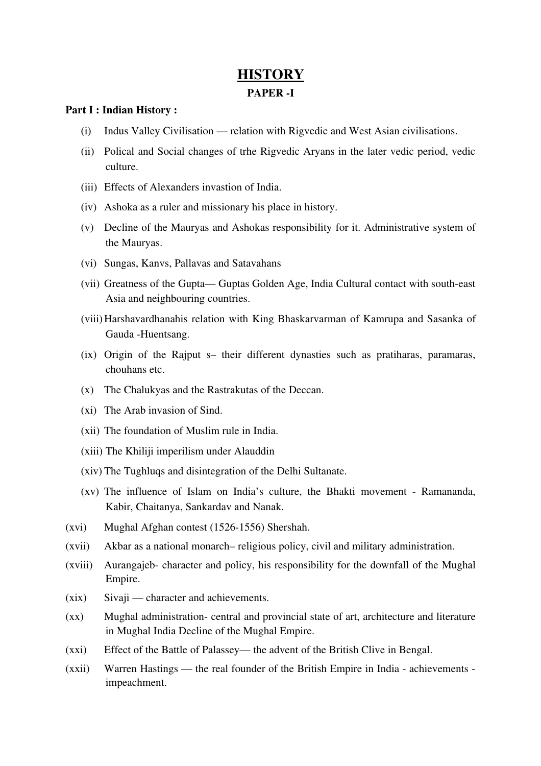# **HISTORY**

### PAPER<sub>-I</sub>

## Part I : Indian History :

- (i) Indus Valley Civilisation relation with Rigvedic and West Asian civilisations.
- (ii) Polical and Social changes of trhe Rigvedic Aryans in the later vedic period, vedic culture.
- (iii) Effects of Alexanders invastion of India.
- (iv) Ashoka as a ruler and missionary his place in history.
- (v) Decline of the Mauryas and Ashokas responsibility for it. Administrative system of the Mauryas.
- (vi) Sungas, Kanvs, Pallavas and Satavahans
- (vii) Greatness of the Gupta— Guptas Golden Age, India Cultural contact with southeast Asia and neighbouring countries.
- (viii)Harshavardhanahis relation with King Bhaskarvarman of Kamrupa and Sasanka of Gauda -Huentsang.
- (ix) Origin of the Rajput s– their different dynasties such as pratiharas, paramaras, chouhans etc.
- (x) The Chalukyas and the Rastrakutas of the Deccan.
- (xi) The Arab invasion of Sind.
- (xii) The foundation of Muslim rule in India.
- (xiii) The Khiliji imperilism under Alauddin
- (xiv) The Tughluqs and disintegration of the Delhi Sultanate.
- $(xv)$  The influence of Islam on India's culture, the Bhakti movement Ramananda, Kabir, Chaitanya, Sankardav and Nanak.
- (xvi) Mughal Afghan contest (15261556) Shershah.
- (xvii) Akbar as a national monarch– religious policy, civil and military administration.
- (xviii) Aurangajeb-character and policy, his responsibility for the downfall of the Mughal Empire.
- (xix) Sivaji character and achievements.
- (xx) Mughal administration- central and provincial state of art, architecture and literature in Mughal India Decline of the Mughal Empire.
- (xxi) Effect of the Battle of Palassey— the advent of the British Clive in Bengal.
- (xxii) Warren Hastings the real founder of the British Empire in India achievements impeachment.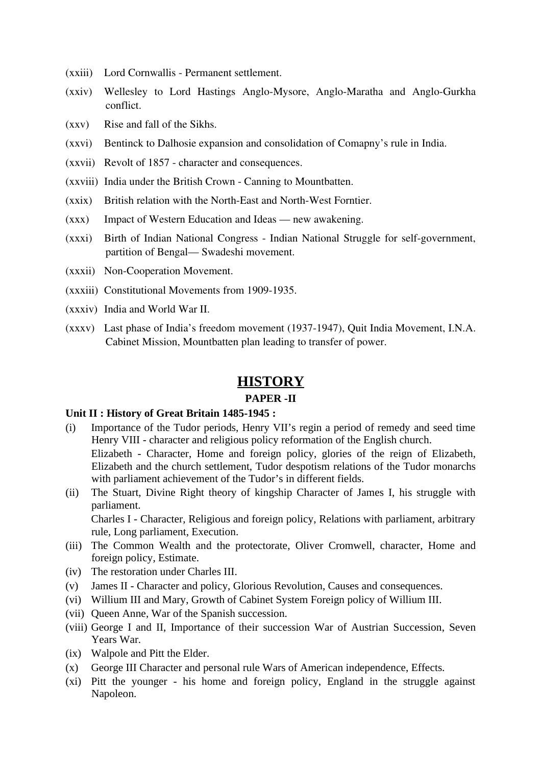- (xxiii) Lord Cornwallis Permanent settlement.
- (xxiv) Wellesley to Lord Hastings Anglo-Mysore, Anglo-Maratha and Anglo-Gurkha conflict.
- (xxv) Rise and fall of the Sikhs.
- (xxvi) Bentinck to Dalhosie expansion and consolidation of Comapny's rule in India.
- (xxvii) Revolt of 1857 character and consequences.
- (xxviii) India under the British Crown Canning to Mountbatten.
- $(xxix)$  British relation with the North-East and North-West Forntier.
- (xxx) Impact of Western Education and Ideas new awakening.
- (xxxi) Birth of Indian National Congress Indian National Struggle for self-government, partition of Bengal— Swadeshi movement.
- (xxxii) Non-Cooperation Movement.
- (xxxiii) Constitutional Movements from 1909-1935.
- (xxxiv) India and World War II.
- (xxxv) Last phase of India's freedom movement (1937-1947), Quit India Movement, I.N.A. Cabinet Mission, Mountbatten plan leading to transfer of power.

## **HISTORY**

#### **PAPER -II**

## **Unit II : History of Great Britain 1485-1945 :**

- (i) Importance of the Tudor periods, Henry VII's regin a period of remedy and seed time Henry VIII - character and religious policy reformation of the English church. Elizabeth - Character, Home and foreign policy, glories of the reign of Elizabeth, Elizabeth and the church settlement, Tudor despotism relations of the Tudor monarchs with parliament achievement of the Tudor's in different fields.
- (ii) The Stuart, Divine Right theory of kingship Character of James I, his struggle with parliament. Charles I - Character, Religious and foreign policy, Relations with parliament, arbitrary

rule, Long parliament, Execution.

- (iii) The Common Wealth and the protectorate, Oliver Cromwell, character, Home and foreign policy, Estimate.
- (iv) The restoration under Charles III.
- (v) James II Character and policy, Glorious Revolution, Causes and consequences.
- (vi) Willium III and Mary, Growth of Cabinet System Foreign policy of Willium III.
- (vii) Queen Anne, War of the Spanish succession.
- (viii) George I and II, Importance of their succession War of Austrian Succession, Seven Years War.
- (ix) Walpole and Pitt the Elder.
- (x) George III Character and personal rule Wars of American independence, Effects.
- (xi) Pitt the younger his home and foreign policy, England in the struggle against Napoleon.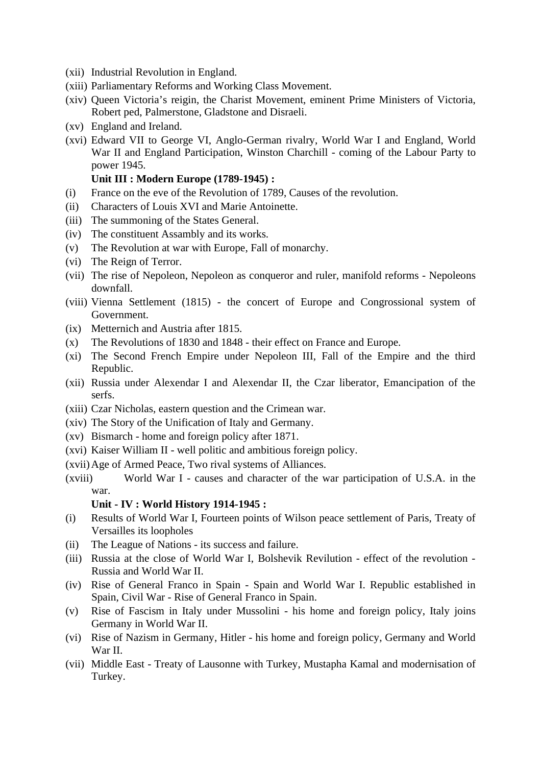- (xii) Industrial Revolution in England.
- (xiii) Parliamentary Reforms and Working Class Movement.
- (xiv) Queen Victoria's reigin, the Charist Movement, eminent Prime Ministers of Victoria, Robert ped, Palmerstone, Gladstone and Disraeli.
- (xv) England and Ireland.
- (xvi) Edward VII to George VI, Anglo-German rivalry, World War I and England, World War II and England Participation, Winston Charchill - coming of the Labour Party to power 1945.

## **Unit III : Modern Europe (1789-1945) :**

- (i) France on the eve of the Revolution of 1789, Causes of the revolution.
- (ii) Characters of Louis XVI and Marie Antoinette.
- (iii) The summoning of the States General.
- (iv) The constituent Assambly and its works.
- (v) The Revolution at war with Europe, Fall of monarchy.
- (vi) The Reign of Terror.
- (vii) The rise of Nepoleon, Nepoleon as conqueror and ruler, manifold reforms Nepoleons downfall.
- (viii) Vienna Settlement (1815) the concert of Europe and Congrossional system of Government.
- (ix) Metternich and Austria after 1815.
- (x) The Revolutions of 1830 and 1848 their effect on France and Europe.
- (xi) The Second French Empire under Nepoleon III, Fall of the Empire and the third Republic.
- (xii) Russia under Alexendar I and Alexendar II, the Czar liberator, Emancipation of the serfs.
- (xiii) Czar Nicholas, eastern question and the Crimean war.
- (xiv) The Story of the Unification of Italy and Germany.
- (xv) Bismarch home and foreign policy after 1871.
- (xvi) Kaiser William II well politic and ambitious foreign policy.
- (xvii)Age of Armed Peace, Two rival systems of Alliances.
- (xviii) World War I causes and character of the war participation of U.S.A. in the war.

## **Unit - IV : World History 1914-1945 :**

- (i) Results of World War I, Fourteen points of Wilson peace settlement of Paris, Treaty of Versailles its loopholes
- (ii) The League of Nations its success and failure.
- (iii) Russia at the close of World War I, Bolshevik Revilution effect of the revolution Russia and World War II.
- (iv) Rise of General Franco in Spain Spain and World War I. Republic established in Spain, Civil War - Rise of General Franco in Spain.
- (v) Rise of Fascism in Italy under Mussolini his home and foreign policy, Italy joins Germany in World War II.
- (vi) Rise of Nazism in Germany, Hitler his home and foreign policy, Germany and World War II.
- (vii) Middle East Treaty of Lausonne with Turkey, Mustapha Kamal and modernisation of Turkey.